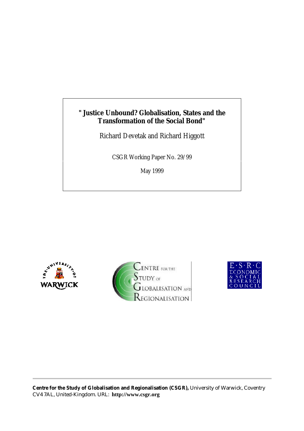## **"Justice Unbound? Globalisation, States and the Transformation of the Social Bond"**

Richard Devetak and Richard Higgott

CSGR Working Paper No. 29/99

May 1999







**Centre for the Study of Globalisation and Regionalisation (CSGR),** University of Warwick, Coventry CV4 7AL, United-Kingdom. URL: **http://www.csgr.org**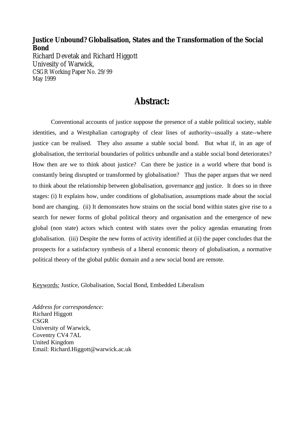## **Justice Unbound? Globalisation, States and the Transformation of the Social Bond**

Richard Devetak and Richard Higgott Univesity of Warwick, CSGR Working Paper No. 29/99 May 1999

# **Abstract:**

Conventional accounts of justice suppose the presence of a stable political society, stable identities, and a Westphalian cartography of clear lines of authority--usually a state--where justice can be realised. They also assume a stable social bond. But what if, in an age of globalisation, the territorial boundaries of politics unbundle and a stable social bond deteriorates? How then are we to think about justice? Can there be justice in a world where that bond is constantly being disrupted or transformed by globalisation? Thus the paper argues that we need to think about the relationship between globalisation, governance and justice. It does so in three stages: (i) It explains how, under conditions of globalisation, assumptions made about the social bond are changing. (ii) It demonsrates how strains on the social bond within states give rise to a search for newer forms of global political theory and organisation and the emergence of new global (non state) actors which contest with states over the policy agendas emanating from globalisation. (iii) Despite the new forms of activity identified at (ii) the paper concludes that the prospects for a satisfactory synthesis of a liberal economic theory of globalisation, a normative political theory of the global public domain and a new social bond are remote.

Keywords: Justice, Globalisation, Social Bond, Embedded Liberalism

*Address for correspondence:* Richard Higgott CSGR University of Warwick, Coventry CV4 7AL United Kingdom Email: Richard.Higgott@warwick.ac.uk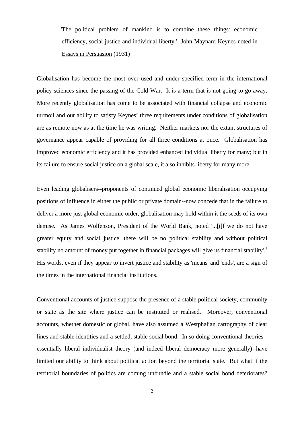'The political problem of mankind is to combine these things: economic efficiency, social justice and individual liberty.' John Maynard Keynes noted in Essays in Persuasion (1931)

Globalisation has become the most over used and under specified term in the international policy sciences since the passing of the Cold War. It is a term that is not going to go away. More recently globalisation has come to be associated with financial collapse and economic turmoil and our ability to satisfy Keynes' three requirements under conditions of globalisation are as remote now as at the time he was writing. Neither markets nor the extant structures of governance appear capable of providing for all three conditions at once. Globalisation has improved economic efficiency and it has provided enhanced individual liberty for many; but in its failure to ensure social justice on a global scale, it also inhibits liberty for many more.

Even leading globalisers--proponents of continued global economic liberalisation occupying positions of influence in either the public or private domain--now concede that in the failure to deliver a more just global economic order, globalisation may hold within it the seeds of its own demise. As James Wolfenson, President of the World Bank, noted '...[i]f we do not have greater equity and social justice, there will be no political stability and without political stability no amount of money put together in financial packages will give us financial stability'.<sup>1</sup> His words, even if they appear to invert justice and stability as 'means' and 'ends', are a sign of the times in the international financial institutions.

Conventional accounts of justice suppose the presence of a stable political society, community or state as the site where justice can be instituted or realised. Moreover, conventional accounts, whether domestic or global, have also assumed a Westphalian cartography of clear lines and stable identities and a settled, stable social bond. In so doing conventional theories- essentially liberal individualist theory (and indeed liberal democracy more generally)--have limited our ability to think about political action beyond the territorial state. But what if the territorial boundaries of politics are coming unbundle and a stable social bond deteriorates?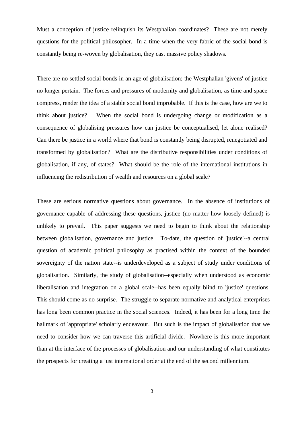Must a conception of justice relinquish its Westphalian coordinates? These are not merely questions for the political philosopher. In a time when the very fabric of the social bond is constantly being re-woven by globalisation, they cast massive policy shadows.

There are no settled social bonds in an age of globalisation; the Westphalian 'givens' of justice no longer pertain. The forces and pressures of modernity and globalisation, as time and space compress, render the idea of a stable social bond improbable. If this is the case, how are we to think about justice? When the social bond is undergoing change or modification as a consequence of globalising pressures how can justice be conceptualised, let alone realised? Can there be justice in a world where that bond is constantly being disrupted, renegotiated and transformed by globalisation? What are the distributive responsibilities under conditions of globalisation, if any, of states? What should be the role of the international institutions in influencing the redistribution of wealth and resources on a global scale?

These are serious normative questions about governance. In the absence of institutions of governance capable of addressing these questions, justice (no matter how loosely defined) is unlikely to prevail. This paper suggests we need to begin to think about the relationship between globalisation, governance and justice. To-date, the question of 'justice'--a central question of academic political philosophy as practised within the context of the bounded sovereignty of the nation state--is underdeveloped as a subject of study under conditions of globalisation. Similarly, the study of globalisation--especially when understood as economic liberalisation and integration on a global scale--has been equally blind to 'justice' questions. This should come as no surprise. The struggle to separate normative and analytical enterprises has long been common practice in the social sciences. Indeed, it has been for a long time the hallmark of 'appropriate' scholarly endeavour. But such is the impact of globalisation that we need to consider how we can traverse this artificial divide. Nowhere is this more important than at the interface of the processes of globalisation and our understanding of what constitutes the prospects for creating a just international order at the end of the second millennium.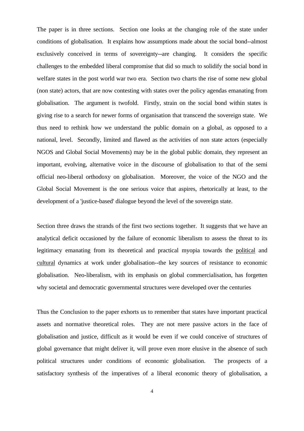The paper is in three sections. Section one looks at the changing role of the state under conditions of globalisation. It explains how assumptions made about the social bond--almost exclusively conceived in terms of sovereignty--are changing. It considers the specific challenges to the embedded liberal compromise that did so much to solidify the social bond in welfare states in the post world war two era. Section two charts the rise of some new global (non state) actors, that are now contesting with states over the policy agendas emanating from globalisation. The argument is twofold. Firstly, strain on the social bond within states is giving rise to a search for newer forms of organisation that transcend the sovereign state. We thus need to rethink how we understand the public domain on a global, as opposed to a national, level. Secondly, limited and flawed as the activities of non state actors (especially NGOS and Global Social Movements) may be in the global public domain, they represent an important, evolving, alternative voice in the discourse of globalisation to that of the semi official neo-liberal orthodoxy on globalisation. Moreover, the voice of the NGO and the Global Social Movement is the one serious voice that aspires, rhetorically at least, to the development of a 'justice-based' dialogue beyond the level of the sovereign state.

Section three draws the strands of the first two sections together. It suggests that we have an analytical deficit occasioned by the failure of economic liberalism to assess the threat to its legitimacy emanating from its theoretical and practical myopia towards the political and cultural dynamics at work under globalisation--the key sources of resistance to economic globalisation. Neo-liberalism, with its emphasis on global commercialisation, has forgetten why societal and democratic governmental structures were developed over the centuries

Thus the Conclusion to the paper exhorts us to remember that states have important practical assets and normative theoretical roles. They are not mere passive actors in the face of globalisation and justice, difficult as it would be even if we could conceive of structures of global governance that might deliver it, will prove even more elusive in the absence of such political structures under conditions of economic globalisation. The prospects of a satisfactory synthesis of the imperatives of a liberal economic theory of globalisation, a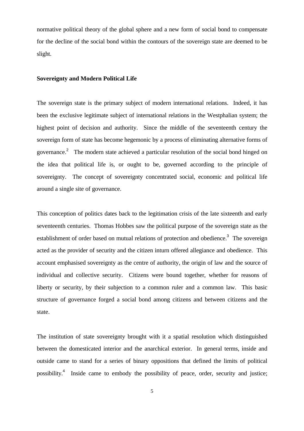normative political theory of the global sphere and a new form of social bond to compensate for the decline of the social bond within the contours of the sovereign state are deemed to be slight.

## **Sovereignty and Modern Political Life**

The sovereign state is the primary subject of modern international relations. Indeed, it has been the exclusive legitimate subject of international relations in the Westphalian system; the highest point of decision and authority. Since the middle of the seventeenth century the sovereign form of state has become hegemonic by a process of eliminating alternative forms of governance.<sup>2</sup> The modern state achieved a particular resolution of the social bond hinged on the idea that political life is, or ought to be, governed according to the principle of sovereignty. The concept of sovereignty concentrated social, economic and political life around a single site of governance.

This conception of politics dates back to the legitimation crisis of the late sixteenth and early seventeenth centuries. Thomas Hobbes saw the political purpose of the sovereign state as the establishment of order based on mutual relations of protection and obedience.<sup>3</sup> The sovereign acted as the provider of security and the citizen inturn offered allegiance and obedience. This account emphasised sovereignty as the centre of authority, the origin of law and the source of individual and collective security. Citizens were bound together, whether for reasons of liberty or security, by their subjection to a common ruler and a common law. This basic structure of governance forged a social bond among citizens and between citizens and the state.

The institution of state sovereignty brought with it a spatial resolution which distinguished between the domesticated interior and the anarchical exterior. In general terms, inside and outside came to stand for a series of binary oppositions that defined the limits of political possibility.<sup>4</sup> Inside came to embody the possibility of peace, order, security and justice;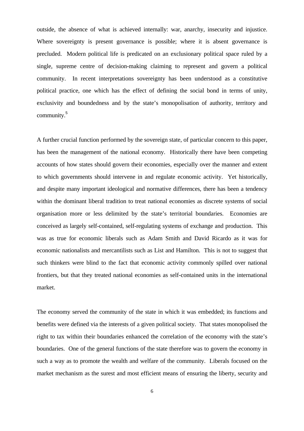outside, the absence of what is achieved internally: war, anarchy, insecurity and injustice. Where sovereignty is present governance is possible; where it is absent governance is precluded. Modern political life is predicated on an exclusionary political space ruled by a single, supreme centre of decision-making claiming to represent and govern a political community. In recent interpretations sovereignty has been understood as a constitutive political practice, one which has the effect of defining the social bond in terms of unity, exclusivity and boundedness and by the state's monopolisation of authority, territory and community.<sup>5</sup>

A further crucial function performed by the sovereign state, of particular concern to this paper, has been the management of the national economy. Historically there have been competing accounts of how states should govern their economies, especially over the manner and extent to which governments should intervene in and regulate economic activity. Yet historically, and despite many important ideological and normative differences, there has been a tendency within the dominant liberal tradition to treat national economies as discrete systems of social organisation more or less delimited by the state's territorial boundaries. Economies are conceived as largely self-contained, self-regulating systems of exchange and production. This was as true for economic liberals such as Adam Smith and David Ricardo as it was for economic nationalists and mercantilists such as List and Hamilton. This is not to suggest that such thinkers were blind to the fact that economic activity commonly spilled over national frontiers, but that they treated national economies as self-contained units in the international market.

The economy served the community of the state in which it was embedded; its functions and benefits were defined via the interests of a given political society. That states monopolised the right to tax within their boundaries enhanced the correlation of the economy with the state's boundaries. One of the general functions of the state therefore was to govern the economy in such a way as to promote the wealth and welfare of the community. Liberals focused on the market mechanism as the surest and most efficient means of ensuring the liberty, security and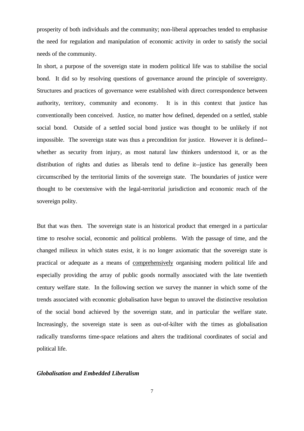prosperity of both individuals and the community; non-liberal approaches tended to emphasise the need for regulation and manipulation of economic activity in order to satisfy the social needs of the community.

In short, a purpose of the sovereign state in modern political life was to stabilise the social bond. It did so by resolving questions of governance around the principle of sovereignty. Structures and practices of governance were established with direct correspondence between authority, territory, community and economy. It is in this context that justice has conventionally been conceived. Justice, no matter how defined, depended on a settled, stable social bond. Outside of a settled social bond justice was thought to be unlikely if not impossible. The sovereign state was thus a precondition for justice. However it is defined- whether as security from injury, as most natural law thinkers understood it, or as the distribution of rights and duties as liberals tend to define it--justice has generally been circumscribed by the territorial limits of the sovereign state. The boundaries of justice were thought to be coextensive with the legal-territorial jurisdiction and economic reach of the sovereign polity.

But that was then. The sovereign state is an historical product that emerged in a particular time to resolve social, economic and political problems. With the passage of time, and the changed milieux in which states exist, it is no longer axiomatic that the sovereign state is practical or adequate as a means of comprehensively organising modern political life and especially providing the array of public goods normally associated with the late twentieth century welfare state. In the following section we survey the manner in which some of the trends associated with economic globalisation have begun to unravel the distinctive resolution of the social bond achieved by the sovereign state, and in particular the welfare state. Increasingly, the sovereign state is seen as out-of-kilter with the times as globalisation radically transforms time-space relations and alters the traditional coordinates of social and political life.

#### *Globalisation and Embedded Liberalism*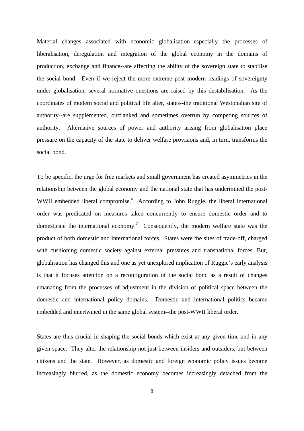Material changes associated with economic globalisation--especially the processes of liberalisation, deregulation and integration of the global economy in the domains of production, exchange and finance--are affecting the ability of the sovereign state to stabilise the social bond. Even if we reject the more extreme post modern readings of sovereignty under globalisation, several normative questions are raised by this destabilisation. As the coordinates of modern social and political life alter, states--the traditional Westphalian site of authority--are supplemented, outflanked and sometimes overrun by competing sources of authority. Alternative sources of power and authority arising from globalisation place pressure on the capacity of the state to deliver welfare provisions and, in turn, transforms the social bond.

To be specific, the urge for free markets and small government has created asymmetries in the relationship between the global economy and the national state that has undermined the post-WWII embedded liberal compromise.<sup>6</sup> According to John Ruggie, the liberal international order was predicated on measures taken concurrently to ensure domestic order and to domesticate the international economy.<sup>7</sup> Consequently, the modern welfare state was the product of both domestic and international forces. States were the sites of trade-off, charged with cushioning domestic society against external pressures and transnational forces. But, globalisation has changed this and one as yet unexplored implication of Ruggie's early analysis is that it focuses attention on a reconfiguration of the social bond as a result of changes emanating from the processes of adjustment in the division of political space between the domestic and international policy domains. Domestic and international politics became embedded and intertwined in the same global system--the post-WWII liberal order.

States are thus crucial in shaping the social bonds which exist at any given time and in any given space. They alter the relationship not just between insiders and outsiders, but between citizens and the state. However, as domestic and foreign economic policy issues become increasingly blurred, as the domestic economy becomes increasingly detached from the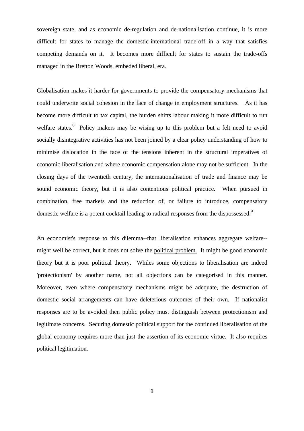sovereign state, and as economic de-regulation and de-nationalisation continue, it is more difficult for states to manage the domestic-international trade-off in a way that satisfies competing demands on it. It becomes more difficult for states to sustain the trade-offs managed in the Bretton Woods, embeded liberal, era.

Globalisation makes it harder for governments to provide the compensatory mechanisms that could underwrite social cohesion in the face of change in employment structures. As it has become more difficult to tax capital, the burden shifts labour making it more difficult to run welfare states.<sup>8</sup> Policy makers may be wising up to this problem but a felt need to avoid socially disintegrative activities has not been joined by a clear policy understanding of how to minimise dislocation in the face of the tensions inherent in the structural imperatives of economic liberalisation and where economic compensation alone may not be sufficient. In the closing days of the twentieth century, the internationalisation of trade and finance may be sound economic theory, but it is also contentious political practice. When pursued in combination, free markets and the reduction of, or failure to introduce, compensatory domestic welfare is a potent cocktail leading to radical responses from the dispossessed.<sup>9</sup>

An economist's response to this dilemma--that liberalisation enhances aggregate welfare- might well be correct, but it does not solve the political problem. It might be good economic theory but it is poor political theory. Whiles some objections to liberalisation are indeed 'protectionism' by another name, not all objections can be categorised in this manner. Moreover, even where compensatory mechanisms might be adequate, the destruction of domestic social arrangements can have deleterious outcomes of their own. If nationalist responses are to be avoided then public policy must distinguish between protectionism and legitimate concerns. Securing domestic political support for the continued liberalisation of the global economy requires more than just the assertion of its economic virtue. It also requires political legitimation.

9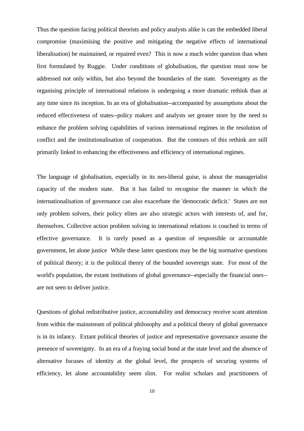Thus the question facing political theorists and policy analysts alike is can the embedded liberal compromise (maximising the positive and mitigating the negative effects of international liberalisation) be maintained, or repaired even? This is now a much wider question than when first formulated by Ruggie. Under conditions of globalisation, the question must now be addressed not only within, but also beyond the boundaries of the state. Sovereignty as the organising principle of international relations is undergoing a more dramatic rethink than at any time since its inception. In an era of globalisation--accompanied by assumptions about the reduced effectiveness of states--policy makers and analysts set greater store by the need to enhance the problem solving capabilities of various international regimes in the resolution of conflict and the institutionalisation of cooperation. But the contours of this rethink are still primarily linked to enhancing the effectiveness and efficiency of international regimes.

The language of globalisation, especially in its neo-liberal guise, is about the managerialist capacity of the modern state. But it has failed to recognise the manner in which the internationalisation of governance can also exacerbate the 'democratic deficit.' States are not only problem solvers, their policy elites are also strategic actors with interests of, and for, themselves. Collective action problem solving in international relations is couched in terms of effective governance. It is rarely posed as a question of responsible or accountable government, let alone justice While these latter questions may be the big normative questions of political theory; it is the political theory of the bounded sovereign state. For most of the world's population, the extant institutions of global governance--especially the financial ones- are not seen to deliver justice.

Questions of global redistributive justice, accountability and democracy receive scant attention from within the mainstream of political philosophy and a political theory of global governance is in its infancy. Extant political theories of justice and representative governance assume the presence of sovereignty. In an era of a fraying social bond at the state level and the absence of alternative focuses of identity at the global level, the prospects of securing systems of efficiency, let alone accountability seem slim. For realist scholars and practitioners of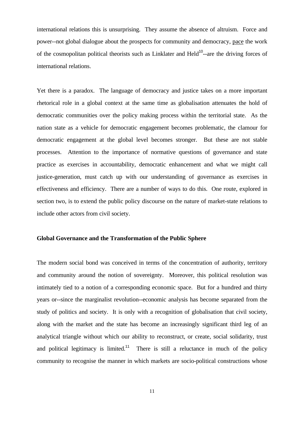international relations this is unsurprising. They assume the absence of altruism. Force and power--not global dialogue about the prospects for community and democracy, pace the work of the cosmopolitan political theorists such as Linklater and Held<sup>10</sup>--are the driving forces of international relations.

Yet there is a paradox. The language of democracy and justice takes on a more important rhetorical role in a global context at the same time as globalisation attenuates the hold of democratic communities over the policy making process within the territorial state. As the nation state as a vehicle for democratic engagement becomes problematic, the clamour for democratic engagement at the global level becomes stronger. But these are not stable processes. Attention to the importance of normative questions of governance and state practice as exercises in accountability, democratic enhancement and what we might call justice-generation, must catch up with our understanding of governance as exercises in effectiveness and efficiency. There are a number of ways to do this. One route, explored in section two, is to extend the public policy discourse on the nature of market-state relations to include other actors from civil society.

## **Global Governance and the Transformation of the Public Sphere**

The modern social bond was conceived in terms of the concentration of authority, territory and community around the notion of sovereignty. Moreover, this political resolution was intimately tied to a notion of a corresponding economic space. But for a hundred and thirty years or--since the marginalist revolution--economic analysis has become separated from the study of politics and society. It is only with a recognition of globalisation that civil society, along with the market and the state has become an increasingly significant third leg of an analytical triangle without which our ability to reconstruct, or create, social solidarity, trust and political legitimacy is limited.<sup>11</sup> There is still a reluctance in much of the policy community to recognise the manner in which markets are socio-political constructions whose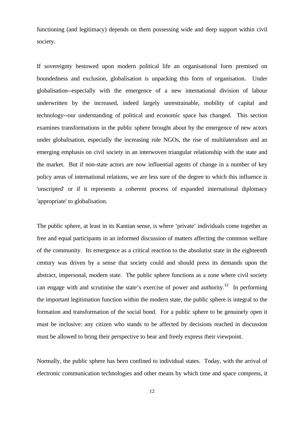functioning (and legitimacy) depends on them possessing wide and deep support within civil society.

If sovereignty bestowed upon modern political life an organisational form premised on boundedness and exclusion, globalisation is unpacking this form of organisation. Under globalisation--especially with the emergence of a new international division of labour underwritten by the increased, indeed largely unrestrainable, mobility of capital and technology--our understanding of political and economic space has changed. This section examines transformations in the public sphere brought about by the emergence of new actors under globalisation, especially the increasing role NGOs, the rise of multilateralism and an emerging emphasis on civil society in an interwoven triangular relationship with the state and the market. But if non-state actors are now influential agents of change in a number of key policy areas of international relations, we are less sure of the degree to which this influence is 'unscripted' or if it represents a coherent process of expanded international diplomacy 'appropriate' to globalisation.

The public sphere, at least in its Kantian sense, is where 'private' individuals come together as free and equal participants in an informed discussion of matters affecting the common welfare of the community. Its emergence as a critical reaction to the absolutist state in the eighteenth century was driven by a sense that society could and should press its demands upon the abstract, impersonal, modern state. The public sphere functions as a zone where civil society can engage with and scrutinise the state's exercise of power and authority.<sup>12</sup> In performing the important legitimation function within the modern state, the public sphere is integral to the formation and transformation of the social bond. For a public sphere to be genuinely open it must be inclusive: any citizen who stands to be affected by decisions reached in discussion must be allowed to bring their perspective to bear and freely express their viewpoint.

Normally, the public sphere has been confined to individual states. Today, with the arrival of electronic communication technologies and other means by which time and space compress, it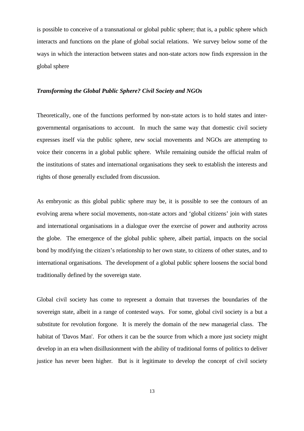is possible to conceive of a transnational or global public sphere; that is, a public sphere which interacts and functions on the plane of global social relations. We survey below some of the ways in which the interaction between states and non-state actors now finds expression in the global sphere

#### *Transforming the Global Public Sphere? Civil Society and NGOs*

Theoretically, one of the functions performed by non-state actors is to hold states and intergovernmental organisations to account. In much the same way that domestic civil society expresses itself via the public sphere, new social movements and NGOs are attempting to voice their concerns in a global public sphere. While remaining outside the official realm of the institutions of states and international organisations they seek to establish the interests and rights of those generally excluded from discussion.

As embryonic as this global public sphere may be, it is possible to see the contours of an evolving arena where social movements, non-state actors and 'global citizens' join with states and international organisations in a dialogue over the exercise of power and authority across the globe. The emergence of the global public sphere, albeit partial, impacts on the social bond by modifying the citizen's relationship to her own state, to citizens of other states, and to international organisations. The development of a global public sphere loosens the social bond traditionally defined by the sovereign state.

Global civil society has come to represent a domain that traverses the boundaries of the sovereign state, albeit in a range of contested ways. For some, global civil society is a but a substitute for revolution forgone. It is merely the domain of the new managerial class. The habitat of 'Davos Man'. For others it can be the source from which a more just society might develop in an era when disillusionment with the ability of traditional forms of politics to deliver justice has never been higher. But is it legitimate to develop the concept of civil society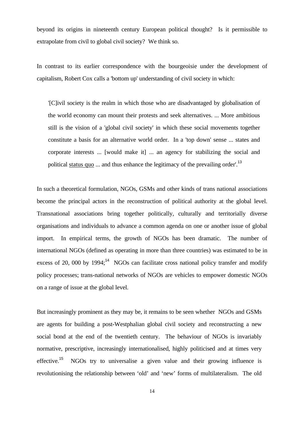beyond its origins in nineteenth century European political thought? Is it permissible to extrapolate from civil to global civil society? We think so.

In contrast to its earlier correspondence with the bourgeoisie under the development of capitalism, Robert Cox calls a 'bottom up' understanding of civil society in which:

'[C]ivil society is the realm in which those who are disadvantaged by globalisation of the world economy can mount their protests and seek alternatives. ... More ambitious still is the vision of a 'global civil society' in which these social movements together constitute a basis for an alternative world order. In a 'top down' sense ... states and corporate interests ... [would make it] ... an agency for stabilizing the social and political status quo ... and thus enhance the legitimacy of the prevailing order'.<sup>13</sup>

In such a theoretical formulation, NGOs, GSMs and other kinds of trans national associations become the principal actors in the reconstruction of political authority at the global level. Transnational associations bring together politically, culturally and territorially diverse organisations and individuals to advance a common agenda on one or another issue of global import. In empirical terms, the growth of NGOs has been dramatic. The number of international NGOs (defined as operating in more than three countries) was estimated to be in excess of 20, 000 by 1994;<sup>14</sup> NGOs can facilitate cross national policy transfer and modify policy processes; trans-national networks of NGOs are vehicles to empower domestic NGOs on a range of issue at the global level.

But increasingly prominent as they may be, it remains to be seen whether NGOs and GSMs are agents for building a post-Westphalian global civil society and reconstructing a new social bond at the end of the twentieth century. The behaviour of NGOs is invariably normative, prescriptive, increasingly internationalised, highly politicised and at times very effective.<sup>15</sup> NGOs try to universalise a given value and their growing influence is revolutionising the relationship between 'old' and 'new' forms of multilateralism. The old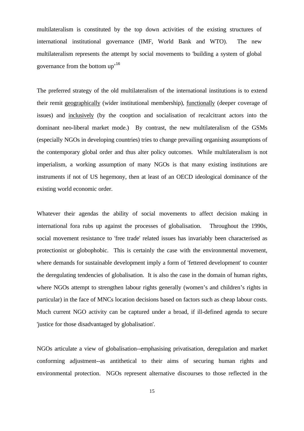multilateralism is constituted by the top down activities of the existing structures of international institutional governance (IMF, World Bank and WTO). The new multilateralism represents the attempt by social movements to 'building a system of global governance from the bottom up'<sup>16</sup>

The preferred strategy of the old multilateralism of the international institutions is to extend their remit geographically (wider institutional membership), functionally (deeper coverage of issues) and inclusively (by the cooption and socialisation of recalcitrant actors into the dominant neo-liberal market mode.) By contrast, the new multilateralism of the GSMs (especially NGOs in developing countries) tries to change prevailing organising assumptions of the contemporary global order and thus alter policy outcomes. While multilateralism is not imperialism, a working assumption of many NGOs is that many existing institutions are instruments if not of US hegemony, then at least of an OECD ideological dominance of the existing world economic order.

Whatever their agendas the ability of social movements to affect decision making in international fora rubs up against the processes of globalisation. Throughout the 1990s, social movement resistance to 'free trade' related issues has invariably been characterised as protectionist or globophobic. This is certainly the case with the environmental movement, where demands for sustainable development imply a form of 'fettered development' to counter the deregulating tendencies of globalisation. It is also the case in the domain of human rights, where NGOs attempt to strengthen labour rights generally (women's and children's rights in particular) in the face of MNCs location decisions based on factors such as cheap labour costs. Much current NGO activity can be captured under a broad, if ill-defined agenda to secure 'justice for those disadvantaged by globalisation'.

NGOs articulate a view of globalisation--emphasising privatisation, deregulation and market conforming adjustment--as antithetical to their aims of securing human rights and environmental protection. NGOs represent alternative discourses to those reflected in the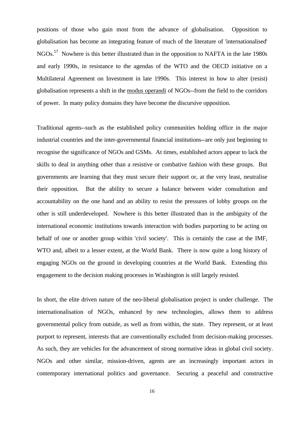positions of those who gain most from the advance of globalisation. Opposition to globalisation has become an integrating feature of much of the literature of 'internationalised' NGOs.<sup>17</sup> Nowhere is this better illustrated than in the opposition to NAFTA in the late 1980s and early 1990s, in resistance to the agendas of the WTO and the OECD initiative on a Multilateral Agreement on Investment in late 1990s. This interest in how to alter (resist) globalisation represents a shift in the modus operandi of NGOs--from the field to the corridors of power. In many policy domains they have become the discursive opposition.

Traditional agents--such as the established policy communities holding office in the major industrial countries and the inter-governmental financial institutions--are only just beginning to recognise the significance of NGOs and GSMs. At times, established actors appear to lack the skills to deal in anything other than a resistive or combative fashion with these groups. But governments are learning that they must secure their support or, at the very least, neutralise their opposition. But the ability to secure a balance between wider consultation and accountability on the one hand and an ability to resist the pressures of lobby groups on the other is still underdeveloped. Nowhere is this better illustrated than in the ambiguity of the international economic institutions towards interaction with bodies purporting to be acting on behalf of one or another group within 'civil society'. This is certainly the case at the IMF, WTO and, albeit to a lesser extent, at the World Bank. There is now quite a long history of engaging NGOs on the ground in developing countries at the World Bank. Extending this engagement to the decision making processes in Washington is still largely resisted.

In short, the elite driven nature of the neo-liberal globalisation project is under challenge. The internationalisation of NGOs, enhanced by new technologies, allows them to address governmental policy from outside, as well as from within, the state. They represent, or at least purport to represent, interests that are conventionally excluded from decision-making processes. As such, they are vehicles for the advancement of strong normative ideas in global civil society. NGOs and other similar, mission-driven, agents are an increasingly important actors in contemporary international politics and governance. Securing a peaceful and constructive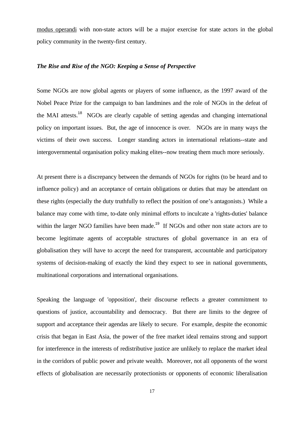modus operandi with non-state actors will be a major exercise for state actors in the global policy community in the twenty-first century.

### *The Rise and Rise of the NGO: Keeping a Sense of Perspective*

Some NGOs are now global agents or players of some influence, as the 1997 award of the Nobel Peace Prize for the campaign to ban landmines and the role of NGOs in the defeat of the MAI attests.<sup>18</sup> NGOs are clearly capable of setting agendas and changing international policy on important issues. But, the age of innocence is over. NGOs are in many ways the victims of their own success. Longer standing actors in international relations--state and intergovernmental organisation policy making elites--now treating them much more seriously.

At present there is a discrepancy between the demands of NGOs for rights (to be heard and to influence policy) and an acceptance of certain obligations or duties that may be attendant on these rights (especially the duty truthfully to reflect the position of one's antagonists.) While a balance may come with time, to-date only minimal efforts to inculcate a 'rights-duties' balance within the larger NGO families have been made.<sup>19</sup> If NGOs and other non state actors are to become legitimate agents of acceptable structures of global governance in an era of globalisation they will have to accept the need for transparent, accountable and participatory systems of decision-making of exactly the kind they expect to see in national governments, multinational corporations and international organisations.

Speaking the language of 'opposition', their discourse reflects a greater commitment to questions of justice, accountability and democracy. But there are limits to the degree of support and acceptance their agendas are likely to secure. For example, despite the economic crisis that began in East Asia, the power of the free market ideal remains strong and support for interference in the interests of redistributive justice are unlikely to replace the market ideal in the corridors of public power and private wealth. Moreover, not all opponents of the worst effects of globalisation are necessarily protectionists or opponents of economic liberalisation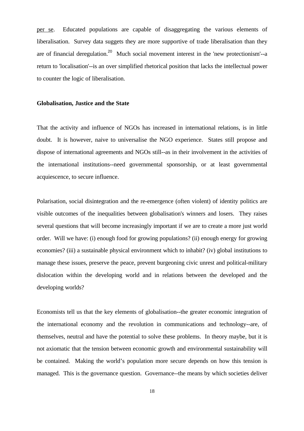per se. Educated populations are capable of disaggregating the various elements of liberalisation. Survey data suggets they are more supportive of trade liberalisation than they are of financial deregulation.<sup>20</sup> Much social movement interest in the 'new protectionism'--a return to 'localisation'--is an over simplified rhetorical position that lacks the intellectual power to counter the logic of liberalisation.

#### **Globalisation, Justice and the State**

That the activity and influence of NGOs has increased in international relations, is in little doubt. It is however, naive to universalise the NGO experience. States still propose and dispose of international agreements and NGOs still--as in their involvement in the activities of the international institutions--need governmental sponsorship, or at least governmental acquiescence, to secure influence.

Polarisation, social disintegration and the re-emergence (often violent) of identity politics are visible outcomes of the inequalities between globalisation's winners and losers. They raises several questions that will become increasingly important if we are to create a more just world order. Will we have: (i) enough food for growing populations? (ii) enough energy for growing economies? (iii) a sustainable physical environment which to inhabit? (iv) global institutions to manage these issues, preserve the peace, prevent burgeoning civic unrest and political-military dislocation within the developing world and in relations between the developed and the developing worlds?

Economists tell us that the key elements of globalisation--the greater economic integration of the international economy and the revolution in communications and technology--are, of themselves, neutral and have the potential to solve these problems. In theory maybe, but it is not axiomatic that the tension between economic growth and environmental sustainability will be contained. Making the world's population more secure depends on how this tension is managed. This is the governance question. Governance--the means by which societies deliver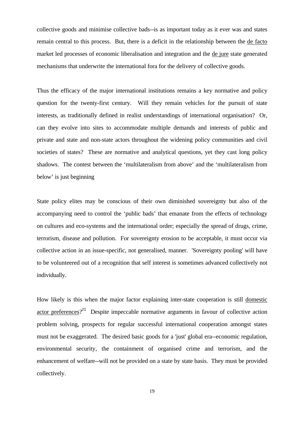collective goods and minimise collective bads--is as important today as it ever was and states remain central to this process. But, there is a deficit in the relationship between the de facto market led processes of economic liberalisation and integration and the de jure state generated mechanisms that underwrite the international fora for the delivery of collective goods.

Thus the efficacy of the major international institutions remains a key normative and policy question for the twenty-first century. Will they remain vehicles for the pursuit of state interests, as traditionally defined in realist understandings of international organisation? Or, can they evolve into sites to accommodate multiple demands and interests of public and private and state and non-state actors throughout the widening policy communities and civil societies of states? These are normative and analytical questions, yet they cast long policy shadows. The contest between the 'multilateralism from above' and the 'multilateralism from below' is just beginning

State policy elites may be conscious of their own diminished sovereignty but also of the accompanying need to control the 'public bads' that emanate from the effects of technology on cultures and eco-systems and the international order; especially the spread of drugs, crime, terrorism, disease and pollution. For sovereignty erosion to be acceptable, it must occur via collective action in an issue-specific, not generalised, manner. 'Sovereignty pooling' will have to be volunteered out of a recognition that self interest is sometimes advanced collectively not individually.

How likely is this when the major factor explaining inter-state cooperation is still domestic actor preferences?<sup>21</sup> Despite impeccable normative arguments in favour of collective action problem solving, prospects for regular successful international cooperation amongst states must not be exaggerated. The desired basic goods for a 'just' global era--economic regulation, environmental security, the containment of organised crime and terrorism, and the enhancement of welfare--will not be provided on a state by state basis. They must be provided collectively.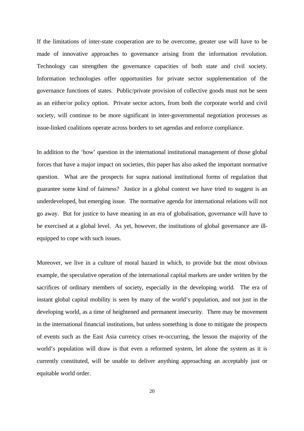If the limitations of inter-state cooperation are to be overcome, greater use will have to be made of innovative approaches to governance arising from the information revolution. Technology can strengthen the governance capacities of both state and civil society. Information technologies offer opportunities for private sector supplementation of the governance functions of states. Public/private provision of collective goods must not be seen as an either/or policy option. Private sector actors, from both the corporate world and civil society, will continue to be more significant in inter-governmental negotiation processes as issue-linked coalitions operate across borders to set agendas and enforce compliance.

In addition to the 'how' question in the international institutional management of those global forces that have a major impact on societies, this paper has also asked the important normative question. What are the prospects for supra national institutional forms of regulation that guarantee some kind of fairness? Justice in a global context we have tried to suggest is an underdeveloped, but emerging issue. The normative agenda for international relations will not go away. But for justice to have meaning in an era of globalisation, governance will have to be exercised at a global level. As yet, however, the institutions of global governance are illequipped to cope with such issues.

Moreover, we live in a culture of moral hazard in which, to provide but the most obvious example, the speculative operation of the international capital markets are under written by the sacrifices of ordinary members of society, especially in the developing world. The era of instant global capital mobility is seen by many of the world's population, and not just in the developing world, as a time of heightened and permanent insecurity. There may be movement in the international financial institutions, but unless something is done to mitigate the prospects of events such as the East Asia currency crises re-occurring, the lesson the majority of the world's population will draw is that even a reformed system, let alone the system as it is currently constituted, will be unable to deliver anything approaching an acceptably just or equitable world order.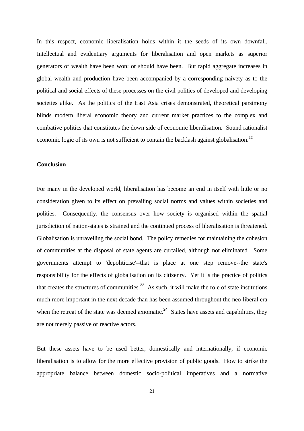In this respect, economic liberalisation holds within it the seeds of its own downfall. Intellectual and evidentiary arguments for liberalisation and open markets as superior generators of wealth have been won; or should have been. But rapid aggregate increases in global wealth and production have been accompanied by a corresponding naivety as to the political and social effects of these processes on the civil polities of developed and developing societies alike. As the politics of the East Asia crises demonstrated, theoretical parsimony blinds modern liberal economic theory and current market practices to the complex and combative politics that constitutes the down side of economic liberalisation. Sound rationalist economic logic of its own is not sufficient to contain the backlash against globalisation.<sup>22</sup>

#### **Conclusion**

For many in the developed world, liberalisation has become an end in itself with little or no consideration given to its effect on prevailing social norms and values within societies and polities. Consequently, the consensus over how society is organised within the spatial jurisdiction of nation-states is strained and the continued process of liberalisation is threatened. Globalisation is unravelling the social bond. The policy remedies for maintaining the cohesion of communities at the disposal of state agents are curtailed, although not eliminated. Some governments attempt to 'depoliticise'--that is place at one step remove--the state's responsibility for the effects of globalisation on its citizenry. Yet it is the practice of politics that creates the structures of communities.<sup>23</sup> As such, it will make the role of state institutions much more important in the next decade than has been assumed throughout the neo-liberal era when the retreat of the state was deemed axiomatic.<sup>24</sup> States have assets and capabilities, they are not merely passive or reactive actors.

But these assets have to be used better, domestically and internationally, if economic liberalisation is to allow for the more effective provision of public goods. How to strike the appropriate balance between domestic socio-political imperatives and a normative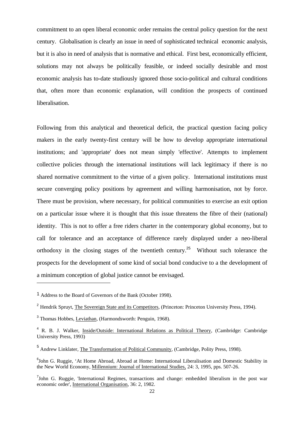commitment to an open liberal economic order remains the central policy question for the next century. Globalisation is clearly an issue in need of sophisticated technical economic analysis, but it is also in need of analysis that is normative and ethical. First best, economically efficient, solutions may not always be politically feasible, or indeed socially desirable and most economic analysis has to-date studiously ignored those socio-political and cultural conditions that, often more than economic explanation, will condition the prospects of continued liberalisation.

Following from this analytical and theoretical deficit, the practical question facing policy makers in the early twenty-first century will be how to develop appropriate international institutions; and 'appropriate' does not mean simply 'effective'. Attempts to implement collective policies through the international institutions will lack legitimacy if there is no shared normative commitment to the virtue of a given policy. International institutions must secure converging policy positions by agreement and willing harmonisation, not by force. There must be provision, where necessary, for political communities to exercise an exit option on a particular issue where it is thought that this issue threatens the fibre of their (national) identity. This is not to offer a free riders charter in the contemporary global economy, but to call for tolerance and an acceptance of difference rarely displayed under a neo-liberal orthodoxy in the closing stages of the twentieth century.<sup>25</sup> Without such tolerance the prospects for the development of some kind of social bond conducive to a the development of a minimum conception of global justice cannot be envisaged.

 $\overline{a}$ 

<sup>1</sup> Address to the Board of Governors of the Bank (October 1998).

<sup>&</sup>lt;sup>2</sup> Hendrik Spruyt, The Sovereign State and its Competitors, (Princeton: Princeton University Press, 1994).

<sup>&</sup>lt;sup>3</sup> Thomas Hobbes, Leviathan, (Harmondsworth: Penguin, 1968).

<sup>&</sup>lt;sup>4</sup> R. B. J. Walker, Inside/Outside: International Relations as Political Theory, (Cambridge: Cambridge University Press, 1993)

<sup>&</sup>lt;sup>5</sup> Andrew Linklater, The Transformation of Political Community, (Cambridge, Polity Press, 1998).

<sup>&</sup>lt;sup>6</sup>John G. Ruggie, 'At Home Abroad, Abroad at Home: International Liberalisation and Domestic Stability in the New World Economy, Millennium: Journal of International Studies, 24: 3, 1995, pps. 507-26.

<sup>&</sup>lt;sup>7</sup>John G. Ruggie, 'International Regimes, transactions and change: embedded liberalism in the post war economic order', International Organisation, 36: 2, 1982.